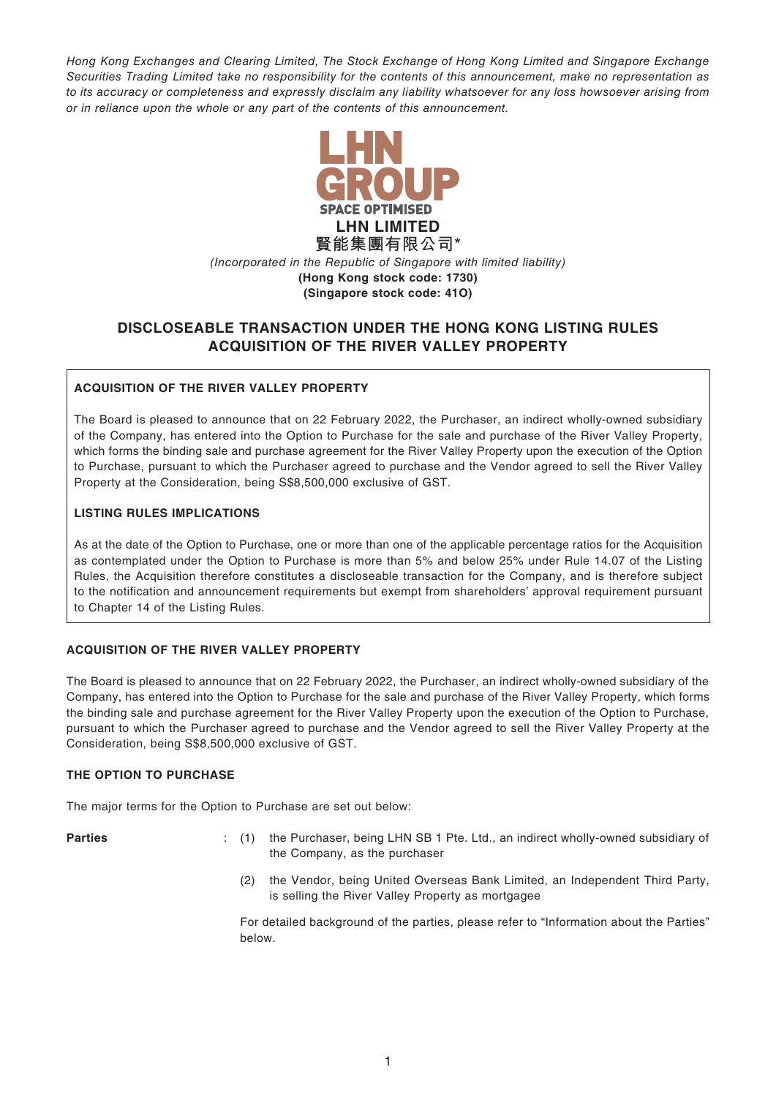*Hong Kong Exchanges and Clearing Limited, The Stock Exchange of Hong Kong Limited and Singapore Exchange Securities Trading Limited take no responsibility for the contents of this announcement, make no representation as to its accuracy or completeness and expressly disclaim any liability whatsoever for any loss howsoever arising from or in reliance upon the whole or any part of the contents of this announcement.*



# **DISCLOSEABLE TRANSACTION UNDER THE HONG KONG LISTING RULES ACQUISITION OF THE RIVER VALLEY PROPERTY**

## **ACQUISITION OF THE RIVER VALLEY PROPERTY**

The Board is pleased to announce that on 22 February 2022, the Purchaser, an indirect wholly-owned subsidiary of the Company, has entered into the Option to Purchase for the sale and purchase of the River Valley Property, which forms the binding sale and purchase agreement for the River Valley Property upon the execution of the Option to Purchase, pursuant to which the Purchaser agreed to purchase and the Vendor agreed to sell the River Valley Property at the Consideration, being S\$8,500,000 exclusive of GST.

### **LISTING RULES IMPLICATIONS**

As at the date of the Option to Purchase, one or more than one of the applicable percentage ratios for the Acquisition as contemplated under the Option to Purchase is more than 5% and below 25% under Rule 14.07 of the Listing Rules, the Acquisition therefore constitutes a discloseable transaction for the Company, and is therefore subject to the notification and announcement requirements but exempt from shareholders' approval requirement pursuant to Chapter 14 of the Listing Rules.

### **ACQUISITION OF THE RIVER VALLEY PROPERTY**

The Board is pleased to announce that on 22 February 2022, the Purchaser, an indirect wholly-owned subsidiary of the Company, has entered into the Option to Purchase for the sale and purchase of the River Valley Property, which forms the binding sale and purchase agreement for the River Valley Property upon the execution of the Option to Purchase, pursuant to which the Purchaser agreed to purchase and the Vendor agreed to sell the River Valley Property at the Consideration, being S\$8,500,000 exclusive of GST.

### **THE OPTION TO PURCHASE**

The major terms for the Option to Purchase are set out below:

- **Parties** : (1) the Purchaser, being LHN SB 1 Pte. Ltd., an indirect wholly-owned subsidiary of the Company, as the purchaser
	- (2) the Vendor, being United Overseas Bank Limited, an Independent Third Party, is selling the River Valley Property as mortgagee

For detailed background of the parties, please refer to "Information about the Parties" below.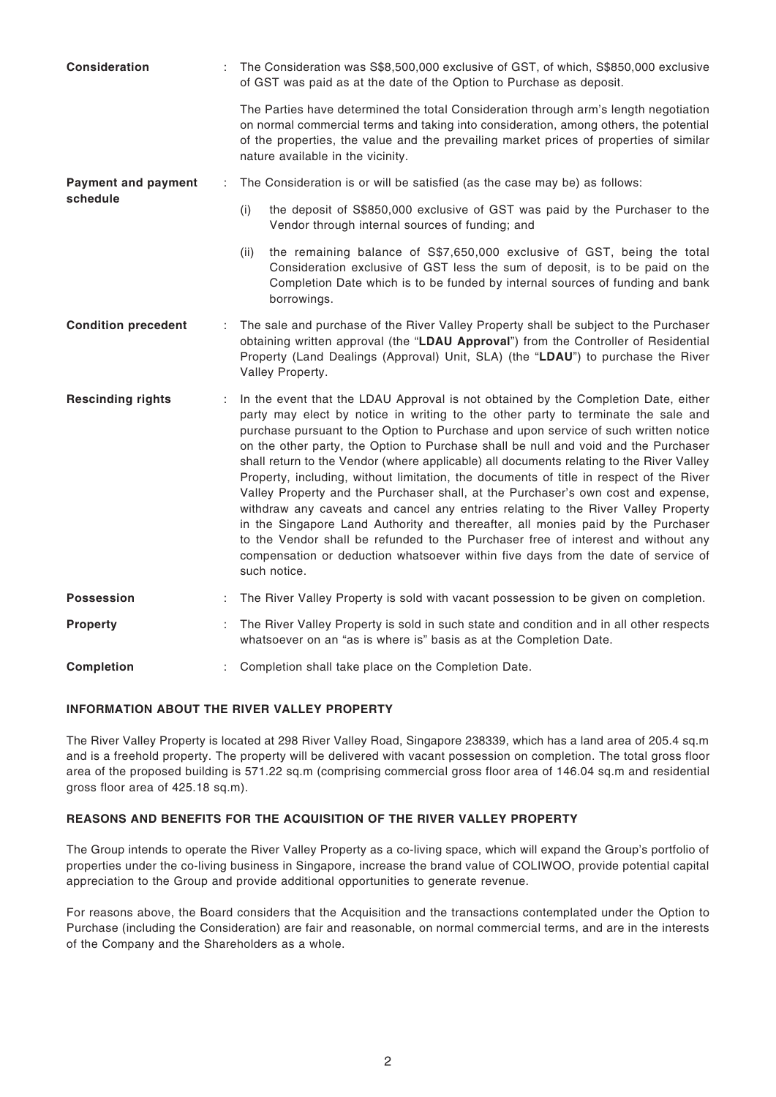| <b>Consideration</b>       |   | The Consideration was S\$8,500,000 exclusive of GST, of which, S\$850,000 exclusive<br>of GST was paid as at the date of the Option to Purchase as deposit.                                                                                                                                                                                                                                                                                                                                                                                                                                                                                                                                                                                                                                                                                                                                                                                                                                          |
|----------------------------|---|------------------------------------------------------------------------------------------------------------------------------------------------------------------------------------------------------------------------------------------------------------------------------------------------------------------------------------------------------------------------------------------------------------------------------------------------------------------------------------------------------------------------------------------------------------------------------------------------------------------------------------------------------------------------------------------------------------------------------------------------------------------------------------------------------------------------------------------------------------------------------------------------------------------------------------------------------------------------------------------------------|
|                            |   | The Parties have determined the total Consideration through arm's length negotiation<br>on normal commercial terms and taking into consideration, among others, the potential<br>of the properties, the value and the prevailing market prices of properties of similar<br>nature available in the vicinity.                                                                                                                                                                                                                                                                                                                                                                                                                                                                                                                                                                                                                                                                                         |
| <b>Payment and payment</b> | ÷ | The Consideration is or will be satisfied (as the case may be) as follows:                                                                                                                                                                                                                                                                                                                                                                                                                                                                                                                                                                                                                                                                                                                                                                                                                                                                                                                           |
| schedule                   |   | the deposit of S\$850,000 exclusive of GST was paid by the Purchaser to the<br>(i)<br>Vendor through internal sources of funding; and                                                                                                                                                                                                                                                                                                                                                                                                                                                                                                                                                                                                                                                                                                                                                                                                                                                                |
|                            |   | the remaining balance of S\$7,650,000 exclusive of GST, being the total<br>(ii)<br>Consideration exclusive of GST less the sum of deposit, is to be paid on the<br>Completion Date which is to be funded by internal sources of funding and bank<br>borrowings.                                                                                                                                                                                                                                                                                                                                                                                                                                                                                                                                                                                                                                                                                                                                      |
| <b>Condition precedent</b> |   | The sale and purchase of the River Valley Property shall be subject to the Purchaser<br>obtaining written approval (the "LDAU Approval") from the Controller of Residential<br>Property (Land Dealings (Approval) Unit, SLA) (the "LDAU") to purchase the River<br>Valley Property.                                                                                                                                                                                                                                                                                                                                                                                                                                                                                                                                                                                                                                                                                                                  |
| <b>Rescinding rights</b>   | ÷ | In the event that the LDAU Approval is not obtained by the Completion Date, either<br>party may elect by notice in writing to the other party to terminate the sale and<br>purchase pursuant to the Option to Purchase and upon service of such written notice<br>on the other party, the Option to Purchase shall be null and void and the Purchaser<br>shall return to the Vendor (where applicable) all documents relating to the River Valley<br>Property, including, without limitation, the documents of title in respect of the River<br>Valley Property and the Purchaser shall, at the Purchaser's own cost and expense,<br>withdraw any caveats and cancel any entries relating to the River Valley Property<br>in the Singapore Land Authority and thereafter, all monies paid by the Purchaser<br>to the Vendor shall be refunded to the Purchaser free of interest and without any<br>compensation or deduction whatsoever within five days from the date of service of<br>such notice. |
| <b>Possession</b>          |   | The River Valley Property is sold with vacant possession to be given on completion.                                                                                                                                                                                                                                                                                                                                                                                                                                                                                                                                                                                                                                                                                                                                                                                                                                                                                                                  |
| <b>Property</b>            |   | The River Valley Property is sold in such state and condition and in all other respects<br>whatsoever on an "as is where is" basis as at the Completion Date.                                                                                                                                                                                                                                                                                                                                                                                                                                                                                                                                                                                                                                                                                                                                                                                                                                        |
| <b>Completion</b>          |   | Completion shall take place on the Completion Date.                                                                                                                                                                                                                                                                                                                                                                                                                                                                                                                                                                                                                                                                                                                                                                                                                                                                                                                                                  |

## **INFORMATION ABOUT THE RIVER VALLEY PROPERTY**

The River Valley Property is located at 298 River Valley Road, Singapore 238339, which has a land area of 205.4 sq.m and is a freehold property. The property will be delivered with vacant possession on completion. The total gross floor area of the proposed building is 571.22 sq.m (comprising commercial gross floor area of 146.04 sq.m and residential gross floor area of 425.18 sq.m).

## **REASONS AND BENEFITS FOR THE ACQUISITION OF THE RIVER VALLEY PROPERTY**

The Group intends to operate the River Valley Property as a co-living space, which will expand the Group's portfolio of properties under the co-living business in Singapore, increase the brand value of COLIWOO, provide potential capital appreciation to the Group and provide additional opportunities to generate revenue.

For reasons above, the Board considers that the Acquisition and the transactions contemplated under the Option to Purchase (including the Consideration) are fair and reasonable, on normal commercial terms, and are in the interests of the Company and the Shareholders as a whole.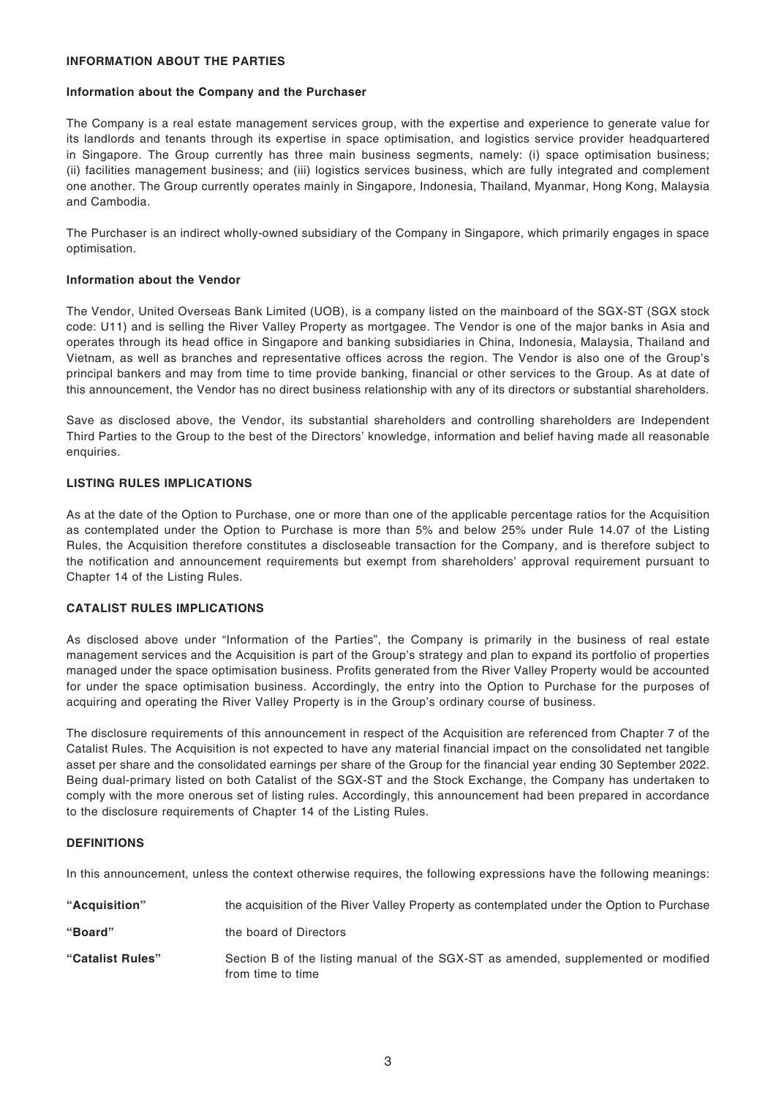### **INFORMATION ABOUT THE PARTIES**

#### **Information about the Company and the Purchaser**

The Company is a real estate management services group, with the expertise and experience to generate value for its landlords and tenants through its expertise in space optimisation, and logistics service provider headquartered in Singapore. The Group currently has three main business segments, namely: (i) space optimisation business; (ii) facilities management business; and (iii) logistics services business, which are fully integrated and complement one another. The Group currently operates mainly in Singapore, Indonesia, Thailand, Myanmar, Hong Kong, Malaysia and Cambodia.

The Purchaser is an indirect wholly-owned subsidiary of the Company in Singapore, which primarily engages in space optimisation.

#### **Information about the Vendor**

The Vendor, United Overseas Bank Limited (UOB), is a company listed on the mainboard of the SGX-ST (SGX stock code: U11) and is selling the River Valley Property as mortgagee. The Vendor is one of the major banks in Asia and operates through its head office in Singapore and banking subsidiaries in China, Indonesia, Malaysia, Thailand and Vietnam, as well as branches and representative offices across the region. The Vendor is also one of the Group's principal bankers and may from time to time provide banking, financial or other services to the Group. As at date of this announcement, the Vendor has no direct business relationship with any of its directors or substantial shareholders.

Save as disclosed above, the Vendor, its substantial shareholders and controlling shareholders are Independent Third Parties to the Group to the best of the Directors' knowledge, information and belief having made all reasonable enquiries.

#### **LISTING RULES IMPLICATIONS**

As at the date of the Option to Purchase, one or more than one of the applicable percentage ratios for the Acquisition as contemplated under the Option to Purchase is more than 5% and below 25% under Rule 14.07 of the Listing Rules, the Acquisition therefore constitutes a discloseable transaction for the Company, and is therefore subject to the notification and announcement requirements but exempt from shareholders' approval requirement pursuant to Chapter 14 of the Listing Rules.

#### **CATALIST RULES IMPLICATIONS**

As disclosed above under "Information of the Parties", the Company is primarily in the business of real estate management services and the Acquisition is part of the Group's strategy and plan to expand its portfolio of properties managed under the space optimisation business. Profits generated from the River Valley Property would be accounted for under the space optimisation business. Accordingly, the entry into the Option to Purchase for the purposes of acquiring and operating the River Valley Property is in the Group's ordinary course of business.

The disclosure requirements of this announcement in respect of the Acquisition are referenced from Chapter 7 of the Catalist Rules. The Acquisition is not expected to have any material financial impact on the consolidated net tangible asset per share and the consolidated earnings per share of the Group for the financial year ending 30 September 2022. Being dual-primary listed on both Catalist of the SGX-ST and the Stock Exchange, the Company has undertaken to comply with the more onerous set of listing rules. Accordingly, this announcement had been prepared in accordance to the disclosure requirements of Chapter 14 of the Listing Rules.

#### **DEFINITIONS**

In this announcement, unless the context otherwise requires, the following expressions have the following meanings:

| "Acquisition"    | the acquisition of the River Valley Property as contemplated under the Option to Purchase               |
|------------------|---------------------------------------------------------------------------------------------------------|
| "Board"          | the board of Directors                                                                                  |
| "Catalist Rules" | Section B of the listing manual of the SGX-ST as amended, supplemented or modified<br>from time to time |